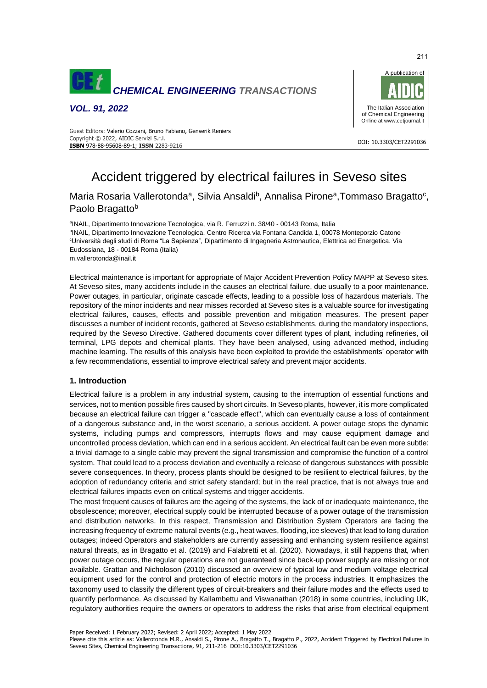

*VOL. 91, 2022*



#### DOI: 10.3303/CET2291036 **ISBN** 978-88-95608-89-1; **ISSN** 2283-9216 Guest Editors: Valerio Cozzani, Bruno Fabiano, Genserik Reniers Copyright © 2022, AIDIC Servizi S.r.l.

# Accident triggered by electrical failures in Seveso sites

## Maria Rosaria Vallerotonda<sup>a</sup>, Silvia Ansaldi<sup>b</sup>, Annalisa Pirone<sup>a</sup>, Tommaso Bragatto<sup>c</sup>, Paolo Bragatto<sup>b</sup>

<sup>a</sup>INAIL, Dipartimento Innovazione Tecnologica, via R. Ferruzzi n. 38/40 - 00143 Roma, Italia <sup>b</sup>INAIL, Dipartimento Innovazione Tecnologica, Centro Ricerca via Fontana Candida 1, 00078 Monteporzio Catone <sup>c</sup>Università degli studi di Roma "La Sapienza", Dipartimento di Ingegneria Astronautica, Elettrica ed Energetica. Via Eudossiana, 18 - 00184 Roma (Italia) m.vallerotonda@inail.it

Electrical maintenance is important for appropriate of Major Accident Prevention Policy MAPP at Seveso sites. At Seveso sites, many accidents include in the causes an electrical failure, due usually to a poor maintenance. Power outages, in particular, originate cascade effects, leading to a possible loss of hazardous materials. The repository of the minor incidents and near misses recorded at Seveso sites is a valuable source for investigating electrical failures, causes, effects and possible prevention and mitigation measures. The present paper discusses a number of incident records, gathered at Seveso establishments, during the mandatory inspections, required by the Seveso Directive. Gathered documents cover different types of plant, including refineries, oil terminal, LPG depots and chemical plants. They have been analysed, using advanced method, including machine learning. The results of this analysis have been exploited to provide the establishments' operator with a few recommendations, essential to improve electrical safety and prevent major accidents.

## **1. Introduction**

Electrical failure is a problem in any industrial system, causing to the interruption of essential functions and services, not to mention possible fires caused by short circuits. In Seveso plants, however, it is more complicated because an electrical failure can trigger a "cascade effect", which can eventually cause a loss of containment of a dangerous substance and, in the worst scenario, a serious accident. A power outage stops the dynamic systems, including pumps and compressors, interrupts flows and may cause equipment damage and uncontrolled process deviation, which can end in a serious accident. An electrical fault can be even more subtle: a trivial damage to a single cable may prevent the signal transmission and compromise the function of a control system. That could lead to a process deviation and eventually a release of dangerous substances with possible severe consequences. In theory, process plants should be designed to be resilient to electrical failures, by the adoption of redundancy criteria and strict safety standard; but in the real practice, that is not always true and electrical failures impacts even on critical systems and trigger accidents.

The most frequent causes of failures are the ageing of the systems, the lack of or inadequate maintenance, the obsolescence; moreover, electrical supply could be interrupted because of a power outage of the transmission and distribution networks. In this respect, Transmission and Distribution System Operators are facing the increasing frequency of extreme natural events (e.g., heat waves, flooding, ice sleeves) that lead to long duration outages; indeed Operators and stakeholders are currently assessing and enhancing system resilience against natural threats, as in Bragatto et al. (2019) and Falabretti et al. (2020). Nowadays, it still happens that, when power outage occurs, the regular operations are not guaranteed since back-up power supply are missing or not available. Grattan and Nicholoson (2010) discussed an overview of typical low and medium voltage electrical equipment used for the control and protection of electric motors in the process industries. It emphasizes the taxonomy used to classify the different types of circuit-breakers and their failure modes and the effects used to quantify performance. As discussed by Kallambettu and Viswanathan (2018) in some countries, including UK, regulatory authorities require the owners or operators to address the risks that arise from electrical equipment

Paper Received: 1 February 2022; Revised: 2 April 2022; Accepted: 1 May 2022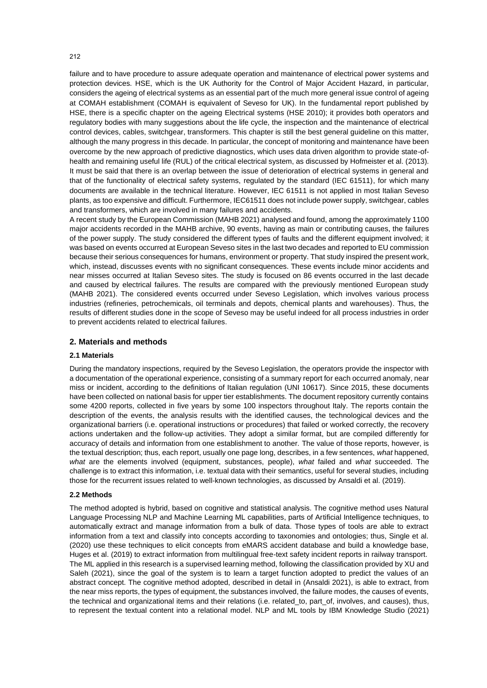failure and to have procedure to assure adequate operation and maintenance of electrical power systems and protection devices. HSE, which is the UK Authority for the Control of Major Accident Hazard, in particular, considers the ageing of electrical systems as an essential part of the much more general issue control of ageing at COMAH establishment (COMAH is equivalent of Seveso for UK). In the fundamental report published by HSE, there is a specific chapter on the ageing Electrical systems (HSE 2010); it provides both operators and regulatory bodies with many suggestions about the life cycle, the inspection and the maintenance of electrical control devices, cables, switchgear, transformers. This chapter is still the best general guideline on this matter, although the many progress in this decade. In particular, the concept of monitoring and maintenance have been overcome by the new approach of predictive diagnostics, which uses data driven algorithm to provide state-ofhealth and remaining useful life (RUL) of the critical electrical system, as discussed by Hofmeister et al. (2013). It must be said that there is an overlap between the issue of deterioration of electrical systems in general and that of the functionality of electrical safety systems, regulated by the standard (IEC 61511), for which many documents are available in the technical literature. However, IEC 61511 is not applied in most Italian Seveso plants, as too expensive and difficult. Furthermore, IEC61511 does not include power supply, switchgear, cables and transformers, which are involved in many failures and accidents.

A recent study by the European Commission (MAHB 2021) analysed and found, among the approximately 1100 major accidents recorded in the MAHB archive, 90 events, having as main or contributing causes, the failures of the power supply. The study considered the different types of faults and the different equipment involved; it was based on events occurred at European Seveso sites in the last two decades and reported to EU commission because their serious consequences for humans, environment or property. That study inspired the present work, which, instead, discusses events with no significant consequences. These events include minor accidents and near misses occurred at Italian Seveso sites. The study is focused on 86 events occurred in the last decade and caused by electrical failures. The results are compared with the previously mentioned European study (MAHB 2021). The considered events occurred under Seveso Legislation, which involves various process industries (refineries, petrochemicals, oil terminals and depots, chemical plants and warehouses). Thus, the results of different studies done in the scope of Seveso may be useful indeed for all process industries in order to prevent accidents related to electrical failures.

#### **2. Materials and methods**

#### **2.1 Materials**

During the mandatory inspections, required by the Seveso Legislation, the operators provide the inspector with a documentation of the operational experience, consisting of a summary report for each occurred anomaly, near miss or incident, according to the definitions of Italian regulation (UNI 10617). Since 2015, these documents have been collected on national basis for upper tier establishments. The document repository currently contains some 4200 reports, collected in five years by some 100 inspectors throughout Italy. The reports contain the description of the events, the analysis results with the identified causes, the technological devices and the organizational barriers (i.e. operational instructions or procedures) that failed or worked correctly, the recovery actions undertaken and the follow-up activities. They adopt a similar format, but are compiled differently for accuracy of details and information from one establishment to another. The value of those reports, however, is the textual description; thus, each report, usually one page long, describes, in a few sentences, *what* happened, *what* are the elements involved (equipment, substances, people), *what* failed and *what* succeeded. The challenge is to extract this information, i.e. textual data with their semantics, useful for several studies, including those for the recurrent issues related to well-known technologies, as discussed by Ansaldi et al. (2019).

#### **2.2 Methods**

The method adopted is hybrid, based on cognitive and statistical analysis. The cognitive method uses Natural Language Processing NLP and Machine Learning ML capabilities, parts of Artificial Intelligence techniques, to automatically extract and manage information from a bulk of data. Those types of tools are able to extract information from a text and classify into concepts according to taxonomies and ontologies; thus, Single et al. (2020) use these techniques to elicit concepts from eMARS accident database and build a knowledge base, Huges et al. (2019) to extract information from multilingual free-text safety incident reports in railway transport. The ML applied in this research is a supervised learning method, following the classification provided by XU and Saleh (2021), since the goal of the system is to learn a target function adopted to predict the values of an abstract concept. The cognitive method adopted, described in detail in (Ansaldi 2021), is able to extract, from the near miss reports, the types of equipment, the substances involved, the failure modes, the causes of events, the technical and organizational items and their relations (i.e. related\_to, part\_of, involves, and causes), thus, to represent the textual content into a relational model. NLP and ML tools by IBM Knowledge Studio (2021)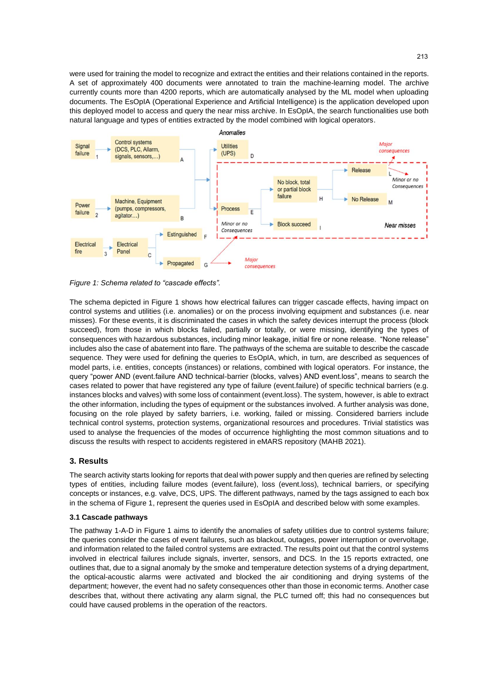were used for training the model to recognize and extract the entities and their relations contained in the reports. A set of approximately 400 documents were annotated to train the machine-learning model. The archive currently counts more than 4200 reports, which are automatically analysed by the ML model when uploading documents. The EsOpIA (Operational Experience and Artificial Intelligence) is the application developed upon this deployed model to access and query the near miss archive. In EsOpIA, the search functionalities use both natural language and types of entities extracted by the model combined with logical operators.



*Figure 1: Schema related to "cascade effects".*

The schema depicted in Figure 1 shows how electrical failures can trigger cascade effects, having impact on control systems and utilities (i.e. anomalies) or on the process involving equipment and substances (i.e. near misses). For these events, it is discriminated the cases in which the safety devices interrupt the process (block succeed), from those in which blocks failed, partially or totally, or were missing, identifying the types of consequences with hazardous substances, including minor leakage, initial fire or none release. "None release" includes also the case of abatement into flare. The pathways of the schema are suitable to describe the cascade sequence. They were used for defining the queries to EsOpIA, which, in turn, are described as sequences of model parts, i.e. entities, concepts (instances) or relations, combined with logical operators. For instance, the query "power AND (event.failure AND technical-barrier (blocks, valves) AND event.loss", means to search the cases related to power that have registered any type of failure (event.failure) of specific technical barriers (e.g. instances blocks and valves) with some loss of containment (event.loss). The system, however, is able to extract the other information, including the types of equipment or the substances involved. A further analysis was done, focusing on the role played by safety barriers, i.e. working, failed or missing. Considered barriers include technical control systems, protection systems, organizational resources and procedures. Trivial statistics was used to analyse the frequencies of the modes of occurrence highlighting the most common situations and to discuss the results with respect to accidents registered in eMARS repository (MAHB 2021).

## **3. Results**

The search activity starts looking for reports that deal with power supply and then queries are refined by selecting types of entities, including failure modes (event.failure), loss (event.loss), technical barriers, or specifying concepts or instances, e.g. valve, DCS, UPS. The different pathways, named by the tags assigned to each box in the schema of Figure 1, represent the queries used in EsOpIA and described below with some examples.

## **3.1 Cascade pathways**

The pathway 1-A-D in Figure 1 aims to identify the anomalies of safety utilities due to control systems failure; the queries consider the cases of event failures, such as blackout, outages, power interruption or overvoltage, and information related to the failed control systems are extracted. The results point out that the control systems involved in electrical failures include signals, inverter, sensors, and DCS. In the 15 reports extracted, one outlines that, due to a signal anomaly by the smoke and temperature detection systems of a drying department, the optical-acoustic alarms were activated and blocked the air conditioning and drying systems of the department; however, the event had no safety consequences other than those in economic terms. Another case describes that, without there activating any alarm signal, the PLC turned off; this had no consequences but could have caused problems in the operation of the reactors.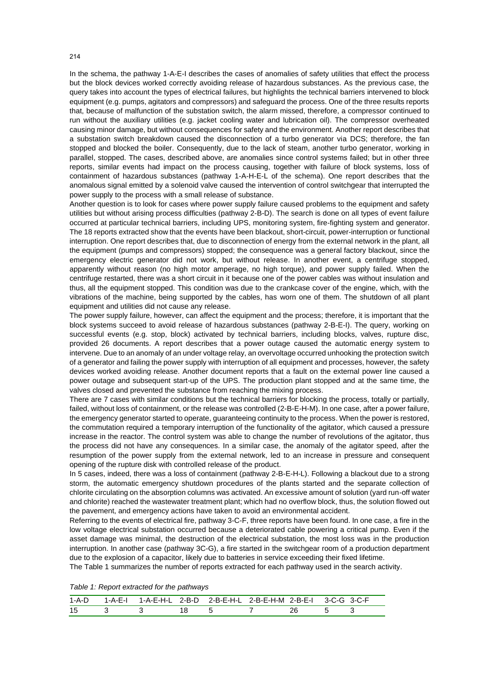In the schema, the pathway 1-A-E-I describes the cases of anomalies of safety utilities that effect the process but the block devices worked correctly avoiding release of hazardous substances. As the previous case, the query takes into account the types of electrical failures, but highlights the technical barriers intervened to block equipment (e.g. pumps, agitators and compressors) and safeguard the process. One of the three results reports that, because of malfunction of the substation switch, the alarm missed, therefore, a compressor continued to run without the auxiliary utilities (e.g. jacket cooling water and lubrication oil). The compressor overheated causing minor damage, but without consequences for safety and the environment. Another report describes that a substation switch breakdown caused the disconnection of a turbo generator via DCS; therefore, the fan stopped and blocked the boiler. Consequently, due to the lack of steam, another turbo generator, working in parallel, stopped. The cases, described above, are anomalies since control systems failed; but in other three reports, similar events had impact on the process causing, together with failure of block systems, loss of containment of hazardous substances (pathway 1-A-H-E-L of the schema). One report describes that the anomalous signal emitted by a solenoid valve caused the intervention of control switchgear that interrupted the power supply to the process with a small release of substance.

Another question is to look for cases where power supply failure caused problems to the equipment and safety utilities but without arising process difficulties (pathway 2-B-D). The search is done on all types of event failure occurred at particular technical barriers, including UPS, monitoring system, fire-fighting system and generator. The 18 reports extracted show that the events have been blackout, short-circuit, power-interruption or functional interruption. One report describes that, due to disconnection of energy from the external network in the plant, all the equipment (pumps and compressors) stopped; the consequence was a general factory blackout, since the emergency electric generator did not work, but without release. In another event, a centrifuge stopped, apparently without reason (no high motor amperage, no high torque), and power supply failed. When the centrifuge restarted, there was a short circuit in it because one of the power cables was without insulation and thus, all the equipment stopped. This condition was due to the crankcase cover of the engine, which, with the vibrations of the machine, being supported by the cables, has worn one of them. The shutdown of all plant equipment and utilities did not cause any release.

The power supply failure, however, can affect the equipment and the process; therefore, it is important that the block systems succeed to avoid release of hazardous substances (pathway 2-B-E-I). The query, working on successful events (e.g. stop, block) activated by technical barriers, including blocks, valves, rupture disc, provided 26 documents. A report describes that a power outage caused the automatic energy system to intervene. Due to an anomaly of an under voltage relay, an overvoltage occurred unhooking the protection switch of a generator and failing the power supply with interruption of all equipment and processes, however, the safety devices worked avoiding release. Another document reports that a fault on the external power line caused a power outage and subsequent start-up of the UPS. The production plant stopped and at the same time, the valves closed and prevented the substance from reaching the mixing process.

There are 7 cases with similar conditions but the technical barriers for blocking the process, totally or partially, failed, without loss of containment, or the release was controlled (2-B-E-H-M). In one case, after a power failure, the emergency generator started to operate, guaranteeing continuity to the process. When the power is restored, the commutation required a temporary interruption of the functionality of the agitator, which caused a pressure increase in the reactor. The control system was able to change the number of revolutions of the agitator, thus the process did not have any consequences. In a similar case, the anomaly of the agitator speed, after the resumption of the power supply from the external network, led to an increase in pressure and consequent opening of the rupture disk with controlled release of the product.

In 5 cases, indeed, there was a loss of containment (pathway 2-B-E-H-L). Following a blackout due to a strong storm, the automatic emergency shutdown procedures of the plants started and the separate collection of chlorite circulating on the absorption columns was activated. An excessive amount of solution (yard run-off water and chlorite) reached the wastewater treatment plant; which had no overflow block, thus, the solution flowed out the pavement, and emergency actions have taken to avoid an environmental accident.

Referring to the events of electrical fire, pathway 3-C-F, three reports have been found. In one case, a fire in the low voltage electrical substation occurred because a deteriorated cable powering a critical pump. Even if the asset damage was minimal, the destruction of the electrical substation, the most loss was in the production interruption. In another case (pathway 3C-G), a fire started in the switchgear room of a production department due to the explosion of a capacitor, likely due to batteries in service exceeding their fixed lifetime.

The Table 1 summarizes the number of reports extracted for each pathway used in the search activity.

*Table 1: Report extracted for the pathways*

| 1-A-D |  |  |  |  |
|-------|--|--|--|--|
| 15    |  |  |  |  |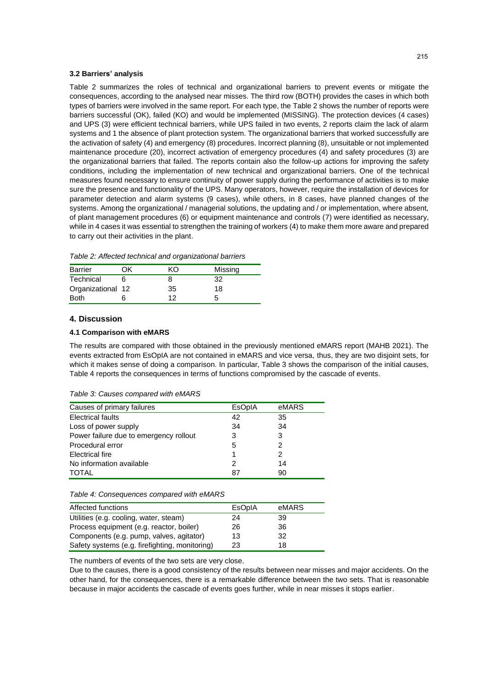#### **3.2 Barriers' analysis**

Table 2 summarizes the roles of technical and organizational barriers to prevent events or mitigate the consequences, according to the analysed near misses. The third row (BOTH) provides the cases in which both types of barriers were involved in the same report. For each type, the Table 2 shows the number of reports were barriers successful (OK), failed (KO) and would be implemented (MISSING). The protection devices (4 cases) and UPS (3) were efficient technical barriers, while UPS failed in two events, 2 reports claim the lack of alarm systems and 1 the absence of plant protection system. The organizational barriers that worked successfully are the activation of safety (4) and emergency (8) procedures. Incorrect planning (8), unsuitable or not implemented maintenance procedure (20), incorrect activation of emergency procedures (4) and safety procedures (3) are the organizational barriers that failed. The reports contain also the follow-up actions for improving the safety conditions, including the implementation of new technical and organizational barriers. One of the technical measures found necessary to ensure continuity of power supply during the performance of activities is to make sure the presence and functionality of the UPS. Many operators, however, require the installation of devices for parameter detection and alarm systems (9 cases), while others, in 8 cases, have planned changes of the systems. Among the organizational / managerial solutions, the updating and / or implementation, where absent, of plant management procedures (6) or equipment maintenance and controls (7) were identified as necessary, while in 4 cases it was essential to strengthen the training of workers (4) to make them more aware and prepared to carry out their activities in the plant.

*Table 2: Affected technical and organizational barriers*

| <b>Barrier</b>    | DК | m  | Missing |
|-------------------|----|----|---------|
| Technical         |    |    | 32      |
| Organizational 12 |    | 35 | 18      |
| <b>Both</b>       |    | 12 |         |

## **4. Discussion**

#### **4.1 Comparison with eMARS**

The results are compared with those obtained in the previously mentioned eMARS report (MAHB 2021). The events extracted from EsOpIA are not contained in eMARS and vice versa, thus, they are two disjoint sets, for which it makes sense of doing a comparison. In particular, Table 3 shows the comparison of the initial causes, Table 4 reports the consequences in terms of functions compromised by the cascade of events.

| Table 3: Causes compared with eMARS |  |  |  |
|-------------------------------------|--|--|--|
|-------------------------------------|--|--|--|

| Causes of primary failures             | <b>EsOpIA</b> | eMARS |
|----------------------------------------|---------------|-------|
| <b>Electrical faults</b>               | 42            | 35    |
| Loss of power supply                   | 34            | 34    |
| Power failure due to emergency rollout | 3             | 3     |
| Procedural error                       | 5             | 2     |
| Electrical fire                        |               | 2     |
| No information available               |               | 14    |
| TOTAL                                  | 87            | 90    |

#### *Table 4: Consequences compared with eMARS*

| Affected functions                             | <b>EsOpIA</b> | eMARS |
|------------------------------------------------|---------------|-------|
| Utilities (e.g. cooling, water, steam)         | 24            | 39    |
| Process equipment (e.g. reactor, boiler)       | 26            | 36    |
| Components (e.g. pump, valves, agitator)       | 13            | 32    |
| Safety systems (e.g. firefighting, monitoring) | 23            | 18    |

The numbers of events of the two sets are very close.

Due to the causes, there is a good consistency of the results between near misses and major accidents. On the other hand, for the consequences, there is a remarkable difference between the two sets. That is reasonable because in major accidents the cascade of events goes further, while in near misses it stops earlier.